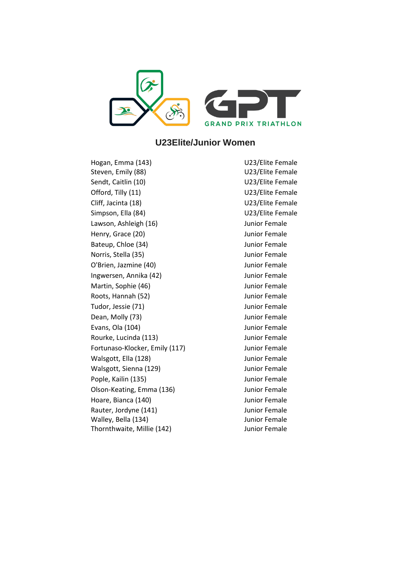

## **U23Elite/Junior Women**

Hogan, Emma (143) Steven, Emily (88) Sendt, Caitlin (10) Sendt, Caitlin (10) Offord, Tilly (11) Contract Contract COME U23/Elite Female Cliff, Jacinta (18) Cliff, Jacinta (18) Simpson, Ella (84) U23/Elite Female Lawson, Ashleigh (16) **Junior Female** Henry, Grace (20) The Contract Contract Contract Contract Contract Contract Contract Contract Contract Contract Contract Contract Contract Contract Contract Contract Contract Contract Contract Contract Contract Contract Co Bateup, Chloe (34) **Junior Female** Norris, Stella (35) **Iunior Female** O'Brien, Jazmine (40) **Junior Female** Ingwersen, Annika (42) **Ingkersen**, Annika (42) Martin, Sophie (46) **Junior Female** Roots, Hannah (52) **Internal Accord Accord Female** Tudor, Jessie (71) **Junior Female** Dean, Molly (73) **Dean, Molly (73) Junior Female** Evans, Ola (104) **Iunior Female** Rourke, Lucinda (113) **Iunior Female** Fortunaso-Klocker, Emily (117) Junior Female Walsgott, Ella (128) **Junior Female** Walsgott, Sienna (129) **Immedia and Strate** Strategies Australian Munior Female Pople, Kailin (135) **Junior Female** Olson-Keating, Emma (136) Junior Female Hoare, Bianca (140) **Junior Female** Rauter, Jordyne (141) **Immunity** Sunior Female Walley, Bella (134) Thornthwaite, Millie (142)

U23/Elite Female U23/Elite Female Junior Female Junior Female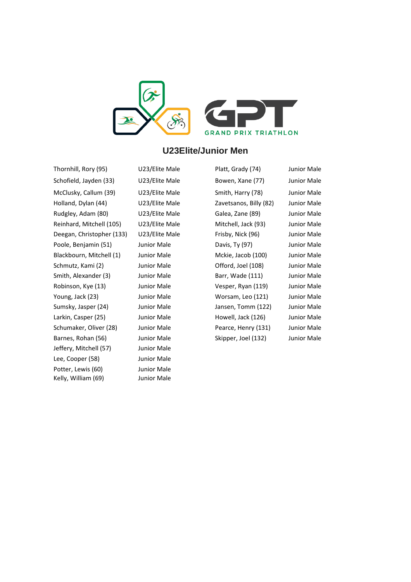

## **U23Elite/Junior Men**

Thornhill, Rory (95) U23/Elite Male Platt, Grady (74) Junior Male Schofield, Jayden (33) U23/Elite Male Bowen, Xane (77) Junior Male McClusky, Callum (39) U23/Elite Male Smith, Harry (78) Junior Male Holland, Dylan (44) U23/Elite Male Zavetsanos, Billy (82) Junior Male Rudgley, Adam (80) U23/Elite Male Galea, Zane (89) Junior Male Reinhard, Mitchell (105) U23/Elite Male Mitchell, Jack (93) Junior Male Deegan, Christopher (133) U23/Elite Male Frisby, Nick (96) Junior Male Poole, Benjamin (51) Junior Male Davis, Ty (97) Junior Male Blackbourn, Mitchell (1) Junior Male Mckie, Jacob (100) Junior Male Schmutz, Kami (2) Junior Male **Offord, Joel (108)** Junior Male Smith, Alexander (3) Junior Male Barr, Wade (111) Junior Male Robinson, Kye (13) Junior Male Vesper, Ryan (119) Junior Male Young, Jack (23) Junior Male Worsam, Leo (121) Junior Male Sumsky, Jasper (24) Junior Male Jansen, Tomm (122) Junior Male Larkin, Casper (25) Junior Male **Howell, Jack (126)** Junior Male Schumaker, Oliver (28) Junior Male Pearce, Henry (131) Junior Male Barnes, Rohan (56) Junior Male Skipper, Joel (132) Junior Male Jeffery, Mitchell (57) Junior Male Lee, Cooper (58) Junior Male Potter, Lewis (60) Junior Male Kelly, William (69) Junior Male